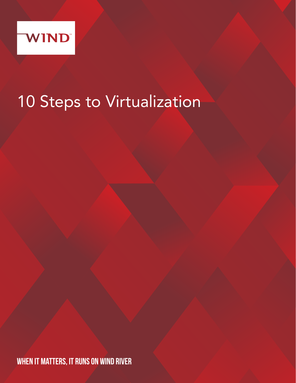

# 10 Steps to Virtualization

WHEN IT MATTERS, IT RUNS ON WIND RIVER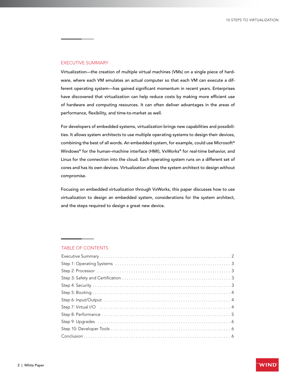#### EXECUTIVE SUMMARY

Virtualization—the creation of multiple virtual machines (VMs) on a single piece of hardware, where each VM emulates an actual computer so that each VM can execute a different operating system—has gained significant momentum in recent years. Enterprises have discovered that virtualization can help reduce costs by making more efficient use of hardware and computing resources. It can often deliver advantages in the areas of performance, flexibility, and time-to-market as well.

For developers of embedded systems, virtualization brings new capabilities and possibilities. It allows system architects to use multiple operating systems to design their devices, combining the best of all words. An embedded system, for example, could use Microsoft® Windows® for the human–machine interface (HMI), VxWorks® for real-time behavior, and Linux for the connection into the cloud. Each operating system runs on a different set of cores and has its own devices. Virtualization allows the system architect to design without compromise.

Focusing on embedded virtualization through VxWorks, this paper discusses how to use virtualization to design an embedded system, considerations for the system architect, and the steps required to design a great new device.

#### TABLE OF CONTENTS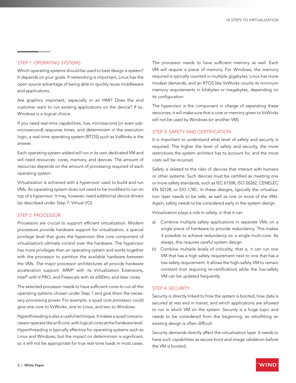## STEP 1: OPERATING SYSTEMS

Which operating systems should be used to best design a system? It depends on your goals. If networking is important, Linux has the open source advantage of being able to quickly reuse middleware and applications.

Are graphics important, especially in an HMI? Does the end customer want to run existing applications on the device? If so, Windows is a logical choice.

If you need real-time capabilities, low, microsecond (or even submicrosecond) response times, and determinism in the execution logic, a real-time operating system (RTOS) such as VxWorks is the answer.

Each operating system added will run in its own dedicated VM and will need resources: cores, memory, and devices. The amount of resources depends on the amount of processing required of each operating system.

Virtualization is achieved with a hypervisor used to build and run VMs. An operating system does not need to be modified to run on top of a hypervisor. It may, however, need additional device drivers (as described under Step 7: Virtual I/O).

## STEP 2: PROCESSOR

Processors are crucial to support efficient virtualization. Modern processors provide hardware support for virtualization, a special privilege level that gives the hypervisor (the core component of virtualization) ultimate control over the hardware. The hypervisor has more privileges than an operating system and works together with the processor to partition the available hardware between the VMs. The major processor architectures all provide hardware acceleration support: ARM® with its Virtualization Extensions, Intel® with V-PRO, and Freescale with its e500mc and later cores.

The selected processor needs to have sufficient cores to run all the operating systems chosen under Step 1 and give them the necessary processing power. For example, a quad core processor could give one core to VxWorks, one to Linux, and two to Windows.

Hyperthreading is also a useful technique. It makes a quad core processor operate like an 8 core, with logical cores at the hardware level. Hyperthreading is typically effective for operating systems such as Linux and Windows, but the impact on determinism is significant, so it will not be appropriate for true real-time loads in most cases.

The processor needs to have sufficient memory as well. Each VM will require a piece of memory. For Windows, the memory required is typically counted in multiple gigabytes; Linux has more modest demands; and an RTOS like VxWorks counts its minimum memory requirements in kilobytes or megabytes, depending on its configuration.

The hypervisor is the component in charge of separating these resources; it will make sure that a core or memory given to VxWorks will not be used by Windows (or another VM).

#### STEP 3: SAFETY AND CERTIFICATION

It is important to understand what level of safety and security is required. The higher the level of safety and security, the more restrictions the system architect has to account for, and the more costs will be incurred.

Safety is related to the risks of devices that interact with humans or other systems. Such devices must be certified as meeting one or more safety standards, such as IEC 61508, ISO 26262, CENELEC EN 50128, or DO-178C. In these designs, typically the virtualization layer needs to be safe, as well as one or more of the VMs. Again, safety needs to be considered early in the system design.

Virtualization plays a role in safety, in that it can

- a) Combine multiple safety applications in separate VMs on a single piece of hardware to provide redundancy. This makes it possible to achieve redundancy on a single multi-core. As always, this requires careful system design.
- b) Combine multiple levels of criticality; that is, it can run one VM that has a high safety requirement next to one that has a low safety requirement. It allows the high-safety VM to remain constant (not requiring re-certification) while the low-safety VM can be updated frequently.

#### STEP 4: SECURITY

Security is directly linked to how the system is booted, how data is secured at rest and in transit, and which applications are allowed to run in which VM on the system. Security is a huge topic and needs to be considered from the beginning, as retrofitting an existing design is often difficult.

Security demands directly affect the virtualization layer. It needs to have such capabilities as secure boot and image validation before the VM is booted.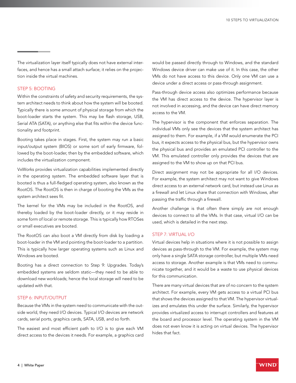The virtualization layer itself typically does not have external interfaces, and hence has a small attach surface; it relies on the projection inside the virtual machines.

## STEP 5: BOOTING

Within the constraints of safety and security requirements, the system architect needs to think about how the system will be booted. Typically there is some amount of physical storage from which the boot-loader starts the system. This may be flash storage, USB, Serial ATA (SATA), or anything else that fits within the device functionality and footprint.

Booting takes place in stages. First, the system may run a basic input/output system (BIOS) or some sort of early firmware, followed by the boot-loader, then by the embedded software, which includes the virtualization component.

VxWorks provides virtualization capabilities implemented directly in the operating system. The embedded software layer that is booted is thus a full-fledged operating system, also known as the RootOS. The RootOS is then in charge of booting the VMs as the system architect sees fit.

The kernel for the VMs may be included in the RootOS, and thereby loaded by the boot-loader directly, or it may reside in some form of local or remote storage. This is typically how RTOSes or small executives are booted.

The RootOS can also boot a VM directly from disk by loading a boot-loader in the VM and pointing the boot-loader to a partition. This is typically how larger operating systems such as Linux and Windows are booted.

Booting has a direct connection to Step 9: Upgrades. Today's embedded systems are seldom static—they need to be able to download new workloads; hence the local storage will need to be updated with that.

## STEP 6: INPUT/OUTPUT

Because the VMs in the system need to communicate with the outside world, they need I/O devices. Typical I/O devices are network cards, serial ports, graphics cards, SATA, USB, and so forth.

The easiest and most efficient path to I/O is to give each VM direct access to the devices it needs. For example, a graphics card would be passed directly through to Windows, and the standard Windows device driver can make use of it. In this case, the other VMs do not have access to this device. Only one VM can use a device under a direct access or pass-through assignment.

Pass-through device access also optimizes performance because the VM has direct access to the device. The hypervisor layer is not involved in accessing, and the device can have direct memory access to the VM.

The hypervisor is the component that enforces separation. The individual VMs only see the devices that the system architect has assigned to them. For example, if a VM would enumerate the PCI bus, it expects access to the physical bus, but the hypervisor owns the physical bus and provides an emulated PCI controller to the VM. This emulated controller only provides the devices that are assigned to the VM to show up on that PCI bus.

Direct assignment may not be appropriate for all I/O devices. For example, the system architect may not want to give Windows direct access to an external network card, but instead use Linux as a firewall and let Linux share that connection with Windows, after passing the traffic through a firewall.

Another challenge is that often there simply are not enough devices to connect to all the VMs. In that case, virtual I/O can be used, which is detailed in the next step.

## STEP 7: VIRTUAL I/O

Virtual devices help in situations where it is not possible to assign devices as pass-through to the VM. For example, the system may only have a single SATA storage controller, but multiple VMs need access to storage. Another example is that VMs need to communicate together, and it would be a waste to use physical devices for this communication.

There are many virtual devices that are of no concern to the system architect. For example, every VM gets access to a virtual PCI bus that shows the devices assigned to that VM. The hypervisor virtualizes and emulates this under the surface. Similarly, the hypervisor provides virtualized access to interrupt controllers and features at the board and processor level. The operating system in the VM does not even know it is acting on virtual devices. The hypervisor hides that fact.

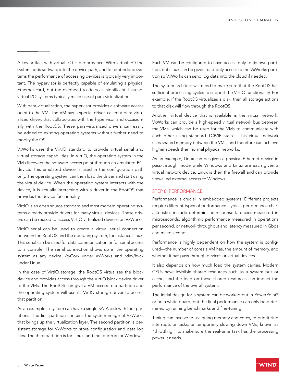A key artifact with virtual I/O is performance. With virtual I/O the system adds software into the device path, and for embedded systems the performance of accessing devices is typically very important. The hypervisor is perfectly capable of emulating a physical Ethernet card, but the overhead to do so is significant. Instead, virtual I/O systems typically make use of para-virtualization.

With para-virtualization, the hypervisor provides a software access point to the VM. The VM has a special driver, called a para-virtualized driver, that collaborates with the hypervisor and occasionally with the RootOS. These para-virtualized drivers can easily be added to existing operating systems without further need to modify the OS.

VxWorks uses the VirtIO standard to provide virtual serial and virtual storage capabilities. In VirtIO, the operating system in the VM discovers the software access point through an emulated PCI device. This emulated device is used in the configuration path only. The operating system can then load the driver and start using the virtual device. When the operating system interacts with the device, it is actually interacting with a driver in the RootOS that provides the device functionality.

VirtIO is an open source standard and most modern operating systems already provide drivers for many virtual devices. These drivers can be reused to access VirtIO virtualized devices on VxWorks.

VirtIO serial can be used to create a virtual serial connection between the RootOS and the operating system, for instance Linux. This serial can be used for data communication or for serial access to a console. The serial connection shows up in the operating system as any device, /tyCo/x under VxWorks and /dev/hvcx under Linux.

In the case of VirtIO storage, the RootOS virtualizes the block device and provides access through the VirtIO block device driver to the VMs. The RootOS can give a VM access to a partition and the operating system will use its VirtIO storage driver to access that partition.

As an example, a system can have a single SATA disk with four partitions. The first partition contains the system image of VxWorks that brings up the virtualization layer. The second partition is persistent storage for VxWorks to store configuration and data log files. The third partition is for Linux, and the fourth is for Windows.

Each VM can be configured to have access only to its own partition, but Linux can be given read-only access to the VxWorks partition so VxWorks can send log data into the cloud if needed.

The system architect will need to make sure that the RootOS has sufficient processing cycles to support the VirtIO functionality. For example, if the RootOS virtualizes a disk, then all storage actions to that disk will flow through the RootOS.

Another virtual device that is available is the virtual network. VxWorks can provide a high-speed virtual network bus between the VMs, which can be used for the VMs to communicate with each other using standard TCP/IP stacks. This virtual network uses shared memory between the VMs, and therefore can achieve higher speeds then normal physical networks.

As an example, Linux can be given a physical Ethernet device in pass-through mode while Windows and Linux are each given a virtual network device. Linux is then the firewall and can provide firewalled external access to Windows.

## STEP 8: PERFORMANCE

Performance is crucial in embedded systems. Different projects require different types of performance. Typical performance characteristics include deterministic response latencies measured in microseconds, algorithmic performance measured in operations per second, or network throughput and latency measured in Gbps and microseconds.

Performance is highly dependent on how the system is configured—the number of cores a VM has, the amount of memory, and whether it has pass-through devices or virtual devices.

It also depends on how much load the system carries. Modern CPUs have invisible shared resources such as a system bus or cache, and the load on these shared resources can impact the performance of the overall system.

The initial design for a system can be worked out in PowerPoint® or on a white board, but the final performance can only be determined by running benchmarks and fine-tuning.

Tuning can involve re-assigning memory and cores, re-prioritizing interrupts or tasks, or temporarily slowing down VMs, known as "throttling," to make sure the real-time task has the processing power it needs.